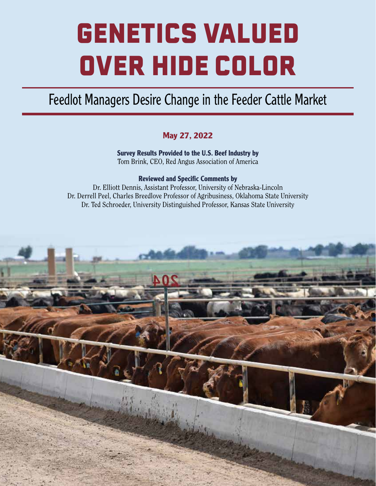# GENETICS VALUED OVER HIDE COLOR

# Feedlot Managers Desire Change in the Feeder Cattle Market

# **May 27, 2022**

**Survey Results Provided to the U.S. Beef Industry by** Tom Brink, CEO, Red Angus Association of America

## **Reviewed and Specific Comments by**

Dr. Elliott Dennis, Assistant Professor, University of Nebraska-Lincoln Dr. Derrell Peel, Charles Breedlove Professor of Agribusiness, Oklahoma State University Dr. Ted Schroeder, University Distinguished Professor, Kansas State University

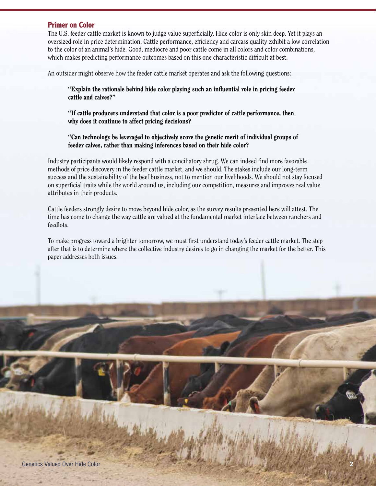#### **Primer on Color**

The U.S. feeder cattle market is known to judge value superficially. Hide color is only skin deep. Yet it plays an oversized role in price determination. Cattle performance, efficiency and carcass quality exhibit a low correlation to the color of an animal's hide. Good, mediocre and poor cattle come in all colors and color combinations, which makes predicting performance outcomes based on this one characteristic difficult at best.

An outsider might observe how the feeder cattle market operates and ask the following questions:

"Explain the rationale behind hide color playing such an influential role in pricing feeder cattle and calves?"

"If cattle producers understand that color is a poor predictor of cattle performance, then why does it continue to affect pricing decisions?

"Can technology be leveraged to objectively score the genetic merit of individual groups of feeder calves, rather than making inferences based on their hide color?

Industry participants would likely respond with a conciliatory shrug. We can indeed find more favorable methods of price discovery in the feeder cattle market, and we should. The stakes include our long-term success and the sustainability of the beef business, not to mention our livelihoods. We should not stay focused on superficial traits while the world around us, including our competition, measures and improves real value attributes in their products.

Cattle feeders strongly desire to move beyond hide color, as the survey results presented here will attest. The time has come to change the way cattle are valued at the fundamental market interface between ranchers and feedlots.

To make progress toward a brighter tomorrow, we must first understand today's feeder cattle market. The step after that is to determine where the collective industry desires to go in changing the market for the better. This paper addresses both issues.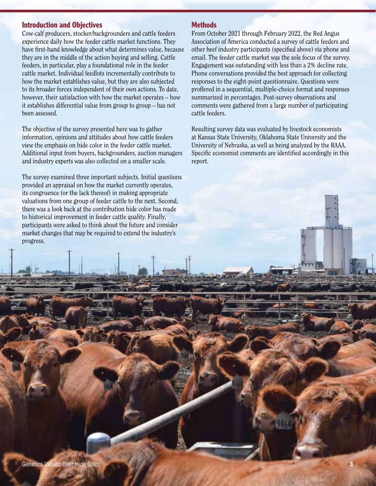#### **Introduction and Objectives**

Cow-calf producers, stocker/backgrounders and cattle feeders experience daily how the feeder cattle market functions. They have first-hand knowledge about what determines value, because they are in the middle of the action buying and selling. Cattle feeders, in particular, play a foundational role in the feeder cattle market. Individual feedlots incrementally contribute to how the market establishes value, but they are also subjected to its broader forces independent of their own actions. To date, however, their satisfaction with how the market operates – how it establishes differential value from group to group – has not been assessed.

The objective of the survey presented here was to gather information, opinions and attitudes about how cattle feeders view the emphasis on hide color in the feeder cattle market. Additional input from buyers, backgrounders, auction managers and industry experts was also collected on a smaller scale.

The survey examined three important subjects. Initial questions provided an appraisal on how the market currently operates, its congruence (or the lack thereof) in making appropriate valuations from one group of feeder cattle to the next. Second, there was a look back at the contribution hide color has made to historical improvement in feeder cattle quality. Finally, participants were asked to think about the future and consider market changes that may be required to extend the industry's progress.

#### **Methods**

From October 2021 through February 2022, the Red Angus Association of America conducted a survey of cattle feeders and other beef industry participants (specified above) via phone and email. The feeder cattle market was the sole focus of the survey. Engagement was outstanding with less than a 2% decline rate. Phone conversations provided the best approach for collecting responses to the eight-point questionnaire. Questions were proffered in a sequential, multiple-choice format and responses summarized in percentages. Post-survey observations and comments were gathered from a large number of participating cattle feeders.

Resulting survey data was evaluated by livestock economists at Kansas State University, Oklahoma State University and the University of Nebraska, as well as being analyzed by the RAAA. Specific economist comments are identified accordingly in this report.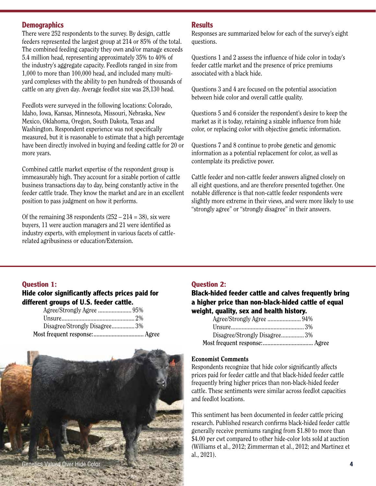#### **Demographics**

There were 252 respondents to the survey. By design, cattle feeders represented the largest group at 214 or 85% of the total. The combined feeding capacity they own and/or manage exceeds 5.4 million head, representing approximately 35% to 40% of the industry's aggregate capacity. Feedlots ranged in size from 1,000 to more than 100,000 head, and included many multiyard complexes with the ability to pen hundreds of thousands of cattle on any given day. Average feedlot size was 28,130 head.

Feedlots were surveyed in the following locations: Colorado, Idaho, Iowa, Kansas, Minnesota, Missouri, Nebraska, New Mexico, Oklahoma, Oregon, South Dakota, Texas and Washington. Respondent experience was not specifically measured, but it is reasonable to estimate that a high percentage have been directly involved in buying and feeding cattle for 20 or more years.

Combined cattle market expertise of the respondent group is immeasurably high. They account for a sizable portion of cattle business transactions day to day, being constantly active in the feeder cattle trade. They know the market and are in an excellent position to pass judgment on how it performs.

Of the remaining 38 respondents  $(252 - 214 = 38)$ , six were buyers, 11 were auction managers and 21 were identified as industry experts, with employment in various facets of cattlerelated agribusiness or education/Extension.

#### **Results**

Responses are summarized below for each of the survey's eight questions.

Questions 1 and 2 assess the influence of hide color in today's feeder cattle market and the presence of price premiums associated with a black hide.

Questions 3 and 4 are focused on the potential association between hide color and overall cattle quality.

Questions 5 and 6 consider the respondent's desire to keep the market as it is today, retaining a sizable influence from hide color, or replacing color with objective genetic information.

Questions 7 and 8 continue to probe genetic and genomic information as a potential replacement for color, as well as contemplate its predictive power.

Cattle feeder and non-cattle feeder answers aligned closely on all eight questions, and are therefore presented together. One notable difference is that non-cattle feeder respondents were slightly more extreme in their views, and were more likely to use "strongly agree" or "strongly disagree" in their answers.

#### **Question 1:**

#### **Hide color significantly affects prices paid for different groups of U.S. feeder cattle.**

| Disagree/Strongly Disagree 3% |  |
|-------------------------------|--|
|                               |  |



#### **Question 2:**

#### **Black-hided feeder cattle and calves frequently bring a higher price than non-black-hided cattle of equal weight, quality, sex and health history.**

| Disagree/Strongly Disagree3% |  |
|------------------------------|--|
|                              |  |

#### Economist Comments

Respondents recognize that hide color significantly affects prices paid for feeder cattle and that black-hided feeder cattle frequently bring higher prices than non-black-hided feeder cattle. These sentiments were similar across feedlot capacities and feedlot locations.

This sentiment has been documented in feeder cattle pricing research. Published research confirms black-hided feeder cattle generally receive premiums ranging from \$1.80 to more than \$4.00 per cwt compared to other hide-color lots sold at auction (Williams et al., 2012; Zimmerman et al., 2012; and Martinez et al., 2021).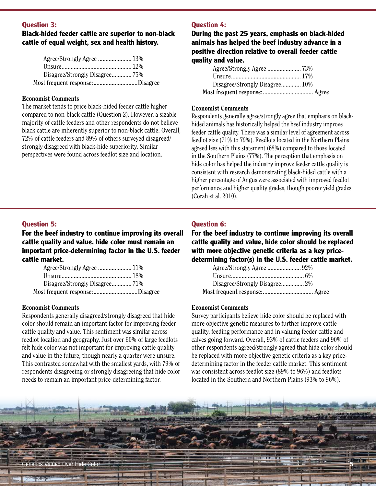#### **Question 3:**

#### **Black-hided feeder cattle are superior to non-black cattle of equal weight, sex and health history.**

| Agree/Strongly Agree  13%       |  |
|---------------------------------|--|
|                                 |  |
| Disagree/Strongly Disagree75%   |  |
| Most frequent response:Disagree |  |

#### Economist Comments

The market tends to price black-hided feeder cattle higher compared to non-black cattle (Question 2). However, a sizable majority of cattle feeders and other respondents do not believe black cattle are inherently superior to non-black cattle. Overall, 72% of cattle feeders and 89% of others surveyed disagreed/ strongly disagreed with black-hide superiority. Similar perspectives were found across feedlot size and location.

#### **Question 4:**

**During the past 25 years, emphasis on black-hided animals has helped the beef industry advance in a positive direction relative to overall feeder cattle quality and value.**

| Disagree/Strongly Disagree 10% |  |
|--------------------------------|--|
|                                |  |

#### Economist Comments

Respondents generally agree/strongly agree that emphasis on blackhided animals has historically helped the beef industry improve feeder cattle quality. There was a similar level of agreement across feedlot size (71% to 79%). Feedlots located in the Northern Plains agreed less with this statement (68%) compared to those located in the Southern Plains (77%). The perception that emphasis on hide color has helped the industry improve feeder cattle quality is consistent with research demonstrating black-hided cattle with a higher percentage of Angus were associated with improved feedlot performance and higher quality grades, though poorer yield grades (Corah et al. 2010).

#### **Question 5:**

**For the beef industry to continue improving its overall cattle quality and value, hide color must remain an important price-determining factor in the U.S. feeder cattle market.**

| Most frequent response:Disagree |  |
|---------------------------------|--|
| Disagree/Strongly Disagree71%   |  |
|                                 |  |
| Agree/Strongly Agree  11%       |  |

#### Economist Comments

Respondents generally disagreed/strongly disagreed that hide color should remain an important factor for improving feeder cattle quality and value. This sentiment was similar across feedlot location and geography. Just over 60% of large feedlots felt hide color was not important for improving cattle quality and value in the future, though nearly a quarter were unsure. This contrasted somewhat with the smallest yards, with 79% of respondents disagreeing or strongly disagreeing that hide color needs to remain an important price-determining factor.

#### **Question 6:**

**For the beef industry to continue improving its overall cattle quality and value, hide color should be replaced with more objective genetic criteria as a key pricedetermining factor(s) in the U.S. feeder cattle market.**

| Disagree/Strongly Disagree 2% |  |
|-------------------------------|--|
|                               |  |

#### Economist Comments

Survey participants believe hide color should be replaced with more objective genetic measures to further improve cattle quality, feeding performance and in valuing feeder cattle and calves going forward. Overall, 93% of cattle feeders and 90% of other respondents agreed/strongly agreed that hide color should be replaced with more objective genetic criteria as a key pricedetermining factor in the feeder cattle market. This sentiment was consistent across feedlot size (89% to 96%) and feedlots located in the Southern and Northern Plains (93% to 96%).

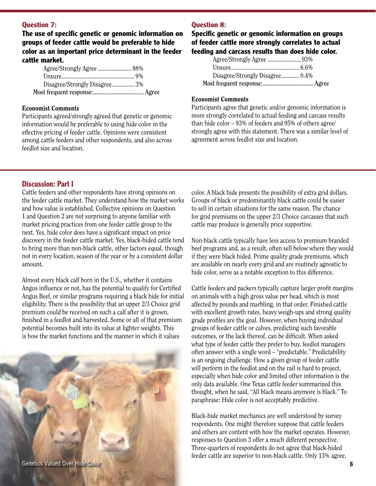#### **Question 7:**

**The use of specific genetic or genomic information on groups of feeder cattle would be preferable to hide color as an important price determinant in the feeder cattle market.**

| Disagree/Strongly Disagree3% |  |
|------------------------------|--|
|                              |  |
|                              |  |

#### Economist Comments

Participants agreed/strongly agreed that genetic or genomic information would be preferable to using hide color in the effective pricing of feeder cattle. Opinions were consistent among cattle feeders and other respondents, and also across feedlot size and location.

#### **Question 8:**

#### **Specific genetic or genomic information on groups of feeder cattle more strongly correlates to actual feeding and carcass results than does hide color.**

| Disagree/Strongly Disagree 0.4% |  |
|---------------------------------|--|
|                                 |  |

#### Economist Comments

Participants agree that genetic and/or genomic information is more strongly correlated to actual feeding and carcass results than hide color – 93% of feeders and 95% of others agree/ strongly agree with this statement. There was a similar level of agreement across feedlot size and location.

#### **Discussion: Part I**

Cattle feeders and other respondents have strong opinions on the feeder cattle market. They understand how the market works and how value is established. Collective opinions on Question 1 and Question 2 are not surprising to anyone familiar with market pricing practices from one feeder cattle group to the next. Yes, hide color does have a significant impact on price discovery in the feeder cattle market. Yes, black-hided cattle tend to bring more than non-black cattle, other factors equal, though not in every location, season of the year or by a consistent dollar amount.

Almost every black calf born in the U.S., whether it contains Angus influence or not, has the potential to qualify for Certified Angus Beef, or similar programs requiring a black hide for initial eligibility. There is the possibility that an upper 2/3 Choice grid premium could be received on such a calf after it is grown, finished in a feedlot and harvested. Some or all of that premium potential becomes built into its value at lighter weights. This is how the market functions and the manner in which it values



color. A black hide presents the possibility of extra grid dollars. Groups of black or predominantly black cattle could be easier to sell in certain situations for the same reason. The chance for grid premiums on the upper 2/3 Choice carcasses that such cattle may produce is generally price supportive.

Non-black cattle typically have less access to premium branded beef programs and, as a result, often sell below where they would if they were black hided. Prime quality grade premiums, which are available on nearly every grid and are routinely agnostic to hide color, serve as a notable exception to this difference.

Cattle feeders and packers typically capture larger profit margins on animals with a high gross value per head, which is most affected by pounds and marbling, in that order. Finished cattle with excellent growth rates, heavy weigh-ups and strong quality grade profiles are the goal. However, when buying individual groups of feeder cattle or calves, predicting such favorable outcomes, or the lack thereof, can be difficult. When asked what type of feeder cattle they prefer to buy, feedlot managers often answer with a single word – "predictable." Predictability is an ongoing challenge. How a given group of feeder cattle will perform in the feedlot and on the rail is hard to project, especially when hide color and limited other information is the only data available. One Texas cattle feeder summarized this thought, when he said, "All black means anymore is black." To paraphrase: Hide color is not acceptably predictive.

Black-hide market mechanics are well understood by survey respondents. One might therefore suppose that cattle feeders and others are content with how the market operates. However, responses to Question 3 offer a much different perspective. Three-quarters of respondents do not agree that black-hided feeder cattle are superior to non-black cattle. Only 13% agree.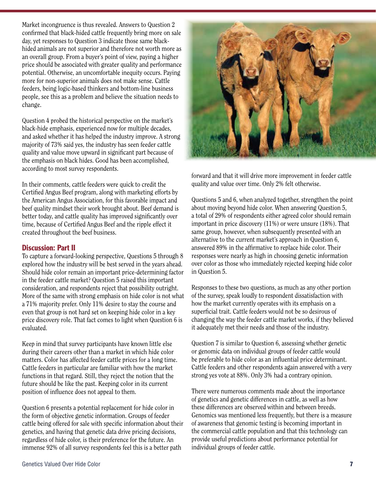Market incongruence is thus revealed. Answers to Question 2 confirmed that black-hided cattle frequently bring more on sale day, yet responses to Question 3 indicate those same blackhided animals are not superior and therefore not worth more as an overall group. From a buyer's point of view, paying a higher price should be associated with greater quality and performance potential. Otherwise, an uncomfortable inequity occurs. Paying more for non-superior animals does not make sense. Cattle feeders, being logic-based thinkers and bottom-line business people, see this as a problem and believe the situation needs to change.

Question 4 probed the historical perspective on the market's black-hide emphasis, experienced now for multiple decades, and asked whether it has helped the industry improve. A strong majority of 73% said yes, the industry has seen feeder cattle quality and value move upward in significant part because of the emphasis on black hides. Good has been accomplished, according to most survey respondents.

In their comments, cattle feeders were quick to credit the Certified Angus Beef program, along with marketing efforts by the American Angus Association, for this favorable impact and beef quality mindset their work brought about. Beef demand is better today, and cattle quality has improved significantly over time, because of Certified Angus Beef and the ripple effect it created throughout the beef business.

#### **Discussion: Part II**

To capture a forward-looking perspective, Questions 5 through 8 explored how the industry will be best served in the years ahead. Should hide color remain an important price-determining factor in the feeder cattle market? Question 5 raised this important consideration, and respondents reject that possibility outright. More of the same with strong emphasis on hide color is not what a 71% majority prefer. Only 11% desire to stay the course and even that group is not hard set on keeping hide color in a key price discovery role. That fact comes to light when Question 6 is evaluated.

Keep in mind that survey participants have known little else during their careers other than a market in which hide color matters. Color has affected feeder cattle prices for a long time. Cattle feeders in particular are familiar with how the market functions in that regard. Still, they reject the notion that the future should be like the past. Keeping color in its current position of influence does not appeal to them.

Question 6 presents a potential replacement for hide color in the form of objective genetic information. Groups of feeder cattle being offered for sale with specific information about their genetics, and having that genetic data drive pricing decisions, regardless of hide color, is their preference for the future. An immense 92% of all survey respondents feel this is a better path



forward and that it will drive more improvement in feeder cattle quality and value over time. Only 2% felt otherwise.

Questions 5 and 6, when analyzed together, strengthen the point about moving beyond hide color. When answering Question 5, a total of 29% of respondents either agreed color should remain important in price discovery (11%) or were unsure (18%). That same group, however, when subsequently presented with an alternative to the current market's approach in Question 6, answered 89% in the affirmative to replace hide color. Their responses were nearly as high in choosing genetic information over color as those who immediately rejected keeping hide color in Question 5.

Responses to these two questions, as much as any other portion of the survey, speak loudly to respondent dissatisfaction with how the market currently operates with its emphasis on a superficial trait. Cattle feeders would not be so desirous of changing the way the feeder cattle market works, if they believed it adequately met their needs and those of the industry.

Question 7 is similar to Question 6, assessing whether genetic or genomic data on individual groups of feeder cattle would be preferable to hide color as an influential price determinant. Cattle feeders and other respondents again answered with a very strong yes vote at 88%. Only 3% had a contrary opinion.

There were numerous comments made about the importance of genetics and genetic differences in cattle, as well as how these differences are observed within and between breeds. Genomics was mentioned less frequently, but there is a measure of awareness that genomic testing is becoming important in the commercial cattle population and that this technology can provide useful predictions about performance potential for individual groups of feeder cattle.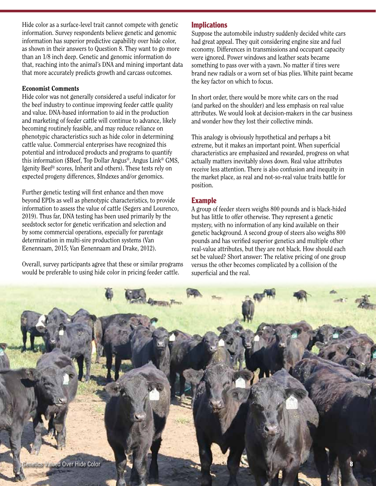Hide color as a surface-level trait cannot compete with genetic information. Survey respondents believe genetic and genomic information has superior predictive capability over hide color, as shown in their answers to Question 8. They want to go more than an 1/8 inch deep. Genetic and genomic information do that, reaching into the animal's DNA and mining important data that more accurately predicts growth and carcass outcomes.

#### Economist Comments

Hide color was not generally considered a useful indicator for the beef industry to continue improving feeder cattle quality and value. DNA-based information to aid in the production and marketing of feeder cattle will continue to advance, likely becoming routinely feasible, and may reduce reliance on phenotypic characteristics such as hide color in determining cattle value. Commercial enterprises have recognized this potential and introduced products and programs to quantify this information (\$Beef, Top Dollar Angus®, Angus Link® GMS, Igenity Beef® scores, Inherit and others). These tests rely on expected progeny differences, \$Indexes and/or genomics.

Further genetic testing will first enhance and then move beyond EPDs as well as phenotypic characteristics, to provide information to assess the value of cattle (Segers and Lourenco, 2019). Thus far, DNA testing has been used primarily by the seedstock sector for genetic verification and selection and by some commercial operations, especially for parentage determination in multi-sire production systems (Van Eenennaam, 2015; Van Eenennaam and Drake, 2012).

Overall, survey participants agree that these or similar programs would be preferable to using hide color in pricing feeder cattle.

#### **Implications**

Suppose the automobile industry suddenly decided white cars had great appeal. They quit considering engine size and fuel economy. Differences in transmissions and occupant capacity were ignored. Power windows and leather seats became something to pass over with a yawn. No matter if tires were brand new radials or a worn set of bias plies. White paint became the key factor on which to focus.

In short order, there would be more white cars on the road (and parked on the shoulder) and less emphasis on real value attributes. We would look at decision-makers in the car business and wonder how they lost their collective minds.

This analogy is obviously hypothetical and perhaps a bit extreme, but it makes an important point. When superficial characteristics are emphasized and rewarded, progress on what actually matters inevitably slows down. Real value attributes receive less attention. There is also confusion and inequity in the market place, as real and not-so-real value traits battle for position.

#### **Example**

A group of feeder steers weighs 800 pounds and is black-hided but has little to offer otherwise. They represent a genetic mystery, with no information of any kind available on their genetic background. A second group of steers also weighs 800 pounds and has verified superior genetics and multiple other real-value attributes, but they are not black. How should each set be valued? Short answer: The relative pricing of one group versus the other becomes complicated by a collision of the superficial and the real.

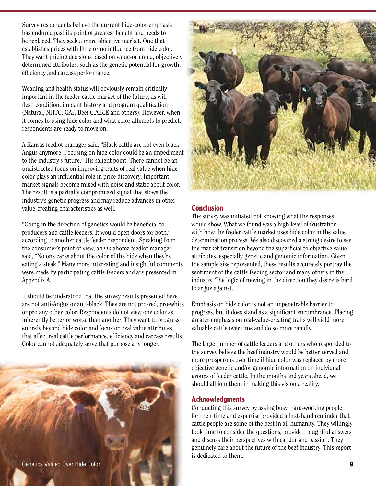Survey respondents believe the current hide-color emphasis has endured past its point of greatest benefit and needs to be replaced. They seek a more objective market. One that establishes prices with little or no influence from hide color. They want pricing decisions based on value-oriented, objectively determined attributes, such as the genetic potential for growth, efficiency and carcass performance.

Weaning and health status will obviously remain critically important in the feeder cattle market of the future, as will flesh condition, implant history and program qualification (Natural, NHTC, GAP, Beef C.A.R.E and others). However, when it comes to using hide color and what color attempts to predict, respondents are ready to move on.

A Kansas feedlot manager said, "Black cattle are not even black Angus anymore. Focusing on hide color could be an impediment to the industry's future." His salient point: There cannot be an undistracted focus on improving traits of real value when hide color plays an influential role in price discovery. Important market signals become mixed with noise and static about color. The result is a partially compromised signal that slows the industry's genetic progress and may reduce advances in other value-creating characteristics as well.

"Going in the direction of genetics would be beneficial to producers and cattle feeders. It would open doors for both," according to another cattle feeder respondent. Speaking from the consumer's point of view, an Oklahoma feedlot manager said, "No one cares about the color of the hide when they're eating a steak." Many more interesting and insightful comments were made by participating cattle feeders and are presented in Appendix A.

It should be understood that the survey results presented here are not anti-Angus or anti-black. They are not pro-red, pro-white or pro any other color. Respondents do not view one color as inherently better or worse than another. They want to progress entirely beyond hide color and focus on real value attributes that affect real cattle performance, efficiency and carcass results. Color cannot adequately serve that purpose any longer.



#### **Conclusion**

The survey was initiated not knowing what the responses would show. What we found was a high level of frustration with how the feeder cattle market uses hide color in the value determination process. We also discovered a strong desire to see the market transition beyond the superficial to objective value attributes, especially genetic and genomic information. Given the sample size represented, these results accurately portray the sentiment of the cattle feeding sector and many others in the industry. The logic of moving in the direction they desire is hard to argue against.

Emphasis on hide color is not an impenetrable barrier to progress, but it does stand as a significant encumbrance. Placing greater emphasis on real-value-creating traits will yield more valuable cattle over time and do so more rapidly.

The large number of cattle feeders and others who responded to the survey believe the beef industry would be better served and more prosperous over time if hide color was replaced by more objective genetic and/or genomic information on individual groups of feeder cattle. In the months and years ahead, we should all join them in making this vision a reality.

#### **Acknowledgments**

Conducting this survey by asking busy, hard-working people for their time and expertise provided a first-hand reminder that cattle people are some of the best in all humanity. They willingly took time to consider the questions, provide thoughtful answers and discuss their perspectives with candor and passion. They genuinely care about the future of the beef industry. This report is dedicated to them.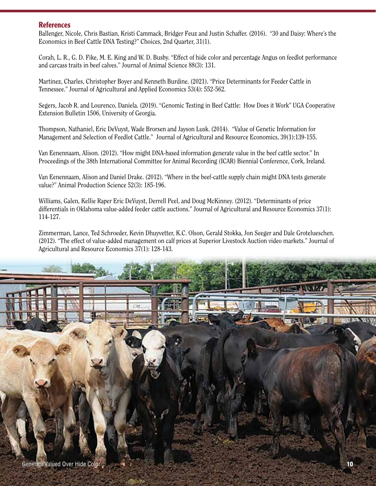#### **References**

Ballenger, Nicole, Chris Bastian, Kristi Cammack, Bridger Feuz and Justin Schaffer. (2016). "30 and Daisy: Where's the Economics in Beef Cattle DNA Testing?" Choices, 2nd Quarter, 31(1).

Corah, L. R., G. D. Fike, M. E. King and W. D. Busby. "Effect of hide color and percentage Angus on feedlot performance and carcass traits in beef calves." Journal of Animal Science 88(3): 131.

Martinez, Charles, Christopher Boyer and Kenneth Burdine. (2021). "Price Determinants for Feeder Cattle in Tennessee." Journal of Agricultural and Applied Economics 53(4): 552-562.

Segers, Jacob R. and Lourenco, Daniela. (2019). "Genomic Testing in Beef Cattle: How Does it Work" UGA Cooperative Extension Bulletin 1506, University of Georgia.

Thompson, Nathaniel, Eric DeVuyst, Wade Brorsen and Jayson Lusk. (2014). "Value of Genetic Information for Management and Selection of Feedlot Cattle." Journal of Agricultural and Resource Economics, 39(1):139-155.

Van Eenennaam, Alison. (2012). "How might DNA-based information generate value in the beef cattle sector." In Proceedings of the 38th International Committee for Animal Recording (ICAR) Biennial Conference, Cork, Ireland.

Van Eenennaam, Alison and Daniel Drake. (2012). "Where in the beef-cattle supply chain might DNA tests generate value?" Animal Production Science 52(3): 185-196.

Williams, Galen, Kellie Raper Eric DeVuyst, Derrell Peel, and Doug McKinney. (2012). "Determinants of price differentials in Oklahoma value-added feeder cattle auctions." Journal of Agricultural and Resource Economics 37(1): 114-127.

Zimmerman, Lance, Ted Schroeder, Kevin Dhuyvetter, K.C. Olson, Gerald Stokka, Jon Seeger and Dale Grotelueschen. (2012). "The effect of value-added management on calf prices at Superior Livestock Auction video markets." Journal of Agricultural and Resource Economics 37(1): 128-143.

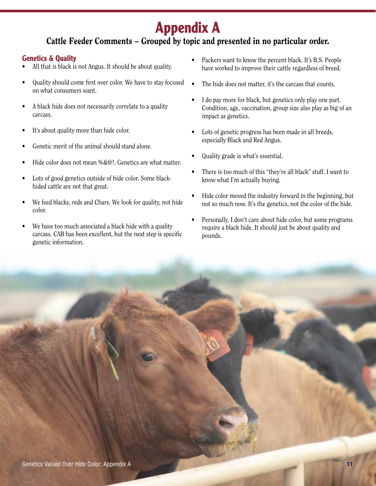# **Appendix A**

# Cattle Feeder Comments – Grouped by topic and presented in no particular order.

## **Genetics & Quality**

- All that is black is not Angus. It should be about quality.
- Quality should come first over color. We have to stay focused on what consumers want.
- A black hide does not necessarily correlate to a quality carcass.
- It's about quality more than hide color.
- Genetic merit of the animal should stand alone.
- Hide color does not mean %&@!. Genetics are what matter.
- Lots of good genetics outside of hide color. Some blackhided cattle are not that great.
- We feed blacks, reds and Chars. We look for quality, not hide color.
- We have too much associated a black hide with a quality carcass. CAB has been excellent, but the next step is specific genetic information.
- Packers want to know the percent black. It's B.S. People have worked to improve their cattle regardless of breed.
- The hide does not matter, it's the carcass that counts.
- I do pay more for black, but genetics only play one part. Condition, age, vaccination, group size also play as big of an impact as genetics.
- Lots of genetic progress has been made in all breeds, especially Black and Red Angus.
- Quality grade is what's essential.
- There is too much of this "they're all black" stuff. I want to know what I'm actually buying.
- Hide color moved the industry forward in the beginning, but not so much now. It's the genetics, not the color of the hide.
- Personally, I don't care about hide color, but some programs require a black hide. It should just be about quality and pounds.

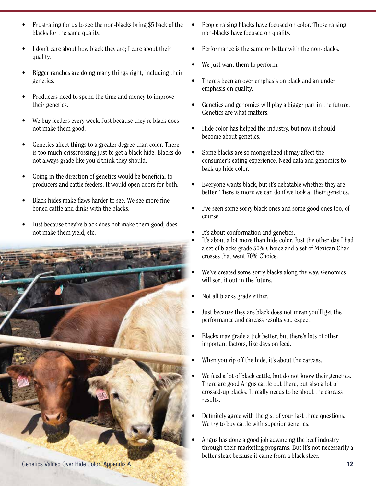- Frustrating for us to see the non-blacks bring \$5 back of the blacks for the same quality.
- I don't care about how black they are; I care about their quality.
- Bigger ranches are doing many things right, including their genetics.
- Producers need to spend the time and money to improve their genetics.
- We buy feeders every week. Just because they're black does not make them good.
- Genetics affect things to a greater degree than color. There is too much crisscrossing just to get a black hide. Blacks do not always grade like you'd think they should.
- Going in the direction of genetics would be beneficial to producers and cattle feeders. It would open doors for both.
- Black hides make flaws harder to see. We see more fineboned cattle and dinks with the blacks.
- Just because they're black does not make them good; does not make them yield, etc.



Genetics Valued Over Hide Color: Appendix A **12** 12

- People raising blacks have focused on color. Those raising non-blacks have focused on quality.
- Performance is the same or better with the non-blacks.
- We just want them to perform.
- There's been an over emphasis on black and an under emphasis on quality.
- Genetics and genomics will play a bigger part in the future. Genetics are what matters.
- Hide color has helped the industry, but now it should become about genetics.
- Some blacks are so mongrelized it may affect the consumer's eating experience. Need data and genomics to back up hide color.
- Everyone wants black, but it's debatable whether they are better. There is more we can do if we look at their genetics.
- I've seen some sorry black ones and some good ones too, of course.
- It's about conformation and genetics.
- It's about a lot more than hide color. Just the other day I had a set of blacks grade 50% Choice and a set of Mexican Char crosses that went 70% Choice.
- We've created some sorry blacks along the way. Genomics will sort it out in the future.
- Not all blacks grade either.
- Just because they are black does not mean you'll get the performance and carcass results you expect.
- Blacks may grade a tick better, but there's lots of other important factors, like days on feed.
- When you rip off the hide, it's about the carcass.
- We feed a lot of black cattle, but do not know their genetics. There are good Angus cattle out there, but also a lot of crossed-up blacks. It really needs to be about the carcass results.
- Definitely agree with the gist of your last three questions. We try to buy cattle with superior genetics.
- Angus has done a good job advancing the beef industry through their marketing programs. But it's not necessarily a better steak because it came from a black steer.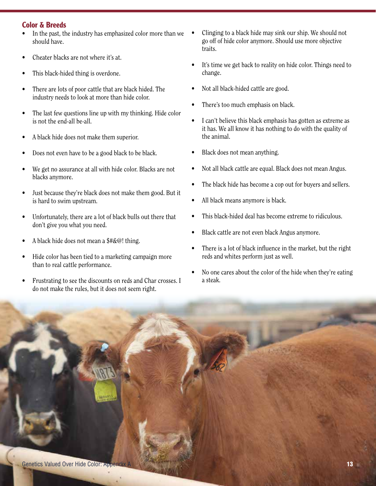#### **Color & Breeds**

- In the past, the industry has emphasized color more than we should have.
- Cheater blacks are not where it's at.
- This black-hided thing is overdone.
- There are lots of poor cattle that are black hided. The industry needs to look at more than hide color.
- The last few questions line up with my thinking. Hide color is not the end-all be-all.
- A black hide does not make them superior.
- Does not even have to be a good black to be black.
- We get no assurance at all with hide color. Blacks are not blacks anymore.
- Just because they're black does not make them good. But it is hard to swim upstream.
- Unfortunately, there are a lot of black bulls out there that don't give you what you need.
- A black hide does not mean a  $\frac{4}{2}$  thing.
- Hide color has been tied to a marketing campaign more than to real cattle performance.
- Frustrating to see the discounts on reds and Char crosses. I do not make the rules, but it does not seem right.
- Clinging to a black hide may sink our ship. We should not go off of hide color anymore. Should use more objective traits.
- It's time we get back to reality on hide color. Things need to change.
- Not all black-hided cattle are good.
- There's too much emphasis on black.
- I can't believe this black emphasis has gotten as extreme as it has. We all know it has nothing to do with the quality of the animal.
- Black does not mean anything.
- Not all black cattle are equal. Black does not mean Angus.
- The black hide has become a cop out for buyers and sellers.
- All black means anymore is black.
- This black-hided deal has become extreme to ridiculous.
- Black cattle are not even black Angus anymore.
- There is a lot of black influence in the market, but the right reds and whites perform just as well.
- No one cares about the color of the hide when they're eating a steak.

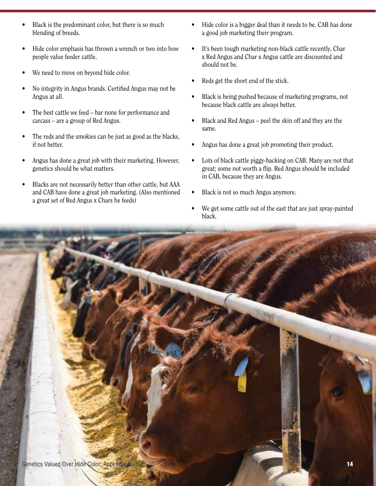- Black is the predominant color, but there is so much blending of breeds.
- Hide color emphasis has thrown a wrench or two into how people value feeder cattle.
- We need to move on beyond hide color.
- No integrity in Angus brands. Certified Angus may not be Angus at all.
- The best cattle we feed bar none for performance and carcass – are a group of Red Angus.
- The reds and the smokies can be just as good as the blacks, if not better.
- Angus has done a great job with their marketing. However, genetics should be what matters.
- Blacks are not necessarily better than other cattle, but AAA and CAB have done a great job marketing. (Also mentioned a great set of Red Angus x Chars he feeds)
- Hide color is a bigger deal than it needs to be. CAB has done a good job marketing their program.
- It's been tough marketing non-black cattle recently. Char x Red Angus and Char x Angus cattle are discounted and should not be.
- Reds get the short end of the stick.
- Black is being pushed because of marketing programs, not because black cattle are always better.
- Black and Red Angus peel the skin off and they are the same.
- Angus has done a great job promoting their product.
- Lots of black cattle piggy-backing on CAB. Many are not that great; some not worth a flip. Red Angus should be included in CAB, because they are Angus.
- Black is not so much Angus anymore.
- We get some cattle out of the east that are just spray-painted black.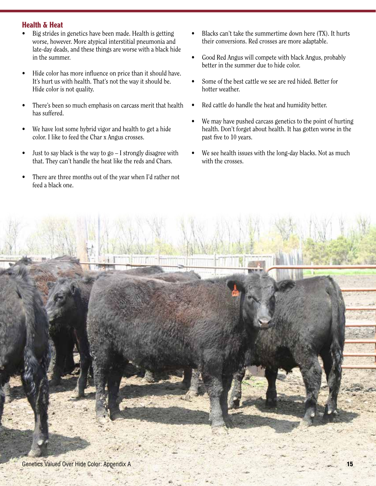## **Health & Heat**

- Big strides in genetics have been made. Health is getting worse, however. More atypical interstitial pneumonia and late-day deads, and these things are worse with a black hide in the summer.
- Hide color has more influence on price than it should have. It's hurt us with health. That's not the way it should be. Hide color is not quality.
- There's been so much emphasis on carcass merit that health has suffered.
- We have lost some hybrid vigor and health to get a hide color. I like to feed the Char x Angus crosses.
- Just to say black is the way to  $g_0 I$  strongly disagree with that. They can't handle the heat like the reds and Chars.
- There are three months out of the year when I'd rather not feed a black one.
- Blacks can't take the summertime down here (TX). It hurts their conversions. Red crosses are more adaptable.
- Good Red Angus will compete with black Angus, probably better in the summer due to hide color.
- Some of the best cattle we see are red hided. Better for hotter weather.
- Red cattle do handle the heat and humidity better.
- We may have pushed carcass genetics to the point of hurting health. Don't forget about health. It has gotten worse in the past five to 10 years.
- We see health issues with the long-day blacks. Not as much with the crosses.